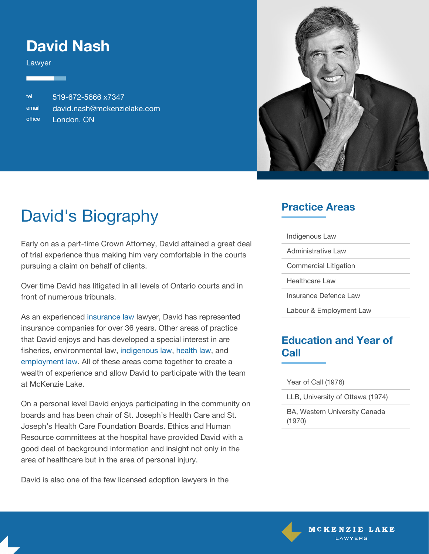### **David Nash**

Lawyer

tel 519-672-5666 x7347 email [david.nash@mckenzielake.com](mailto:david.nash@mckenzielake.com) office London, ON



# David's Biography

Early on as a part-time Crown Attorney, David attained a great deal of trial experience thus making him very comfortable in the courts pursuing a claim on behalf of clients.

Over time David has litigated in all levels of Ontario courts and in front of numerous tribunals.

As an experienced [insurance law](https://www.mckenzielake.com/practice-areas/insurance-defence-law) lawyer, David has represented insurance companies for over 36 years. Other areas of practice that David enjoys and has developed a special interest in are fisheries, environmental law, [indigenous law,](https://www.mckenzielake.com/practice-areas/indigenous-law/) [health law](https://www.mckenzielake.com/practice-areas/healthcare-law), and [employment law.](https://www.mckenzielake.com/practice-areas/labour-employment-law) All of these areas come together to create a wealth of experience and allow David to participate with the team at McKenzie Lake.

On a personal level David enjoys participating in the community on boards and has been chair of St. Joseph's Health Care and St. Joseph's Health Care Foundation Boards. Ethics and Human Resource committees at the hospital have provided David with a good deal of background information and insight not only in the area of healthcare but in the area of personal injury.

David is also one of the few licensed adoption lawyers in the

#### **Practice Areas**

| Indigenous Law          |
|-------------------------|
| Administrative Law      |
| Commercial Litigation   |
| Healthcare Law          |
| Insurance Defence Law   |
| Labour & Employment Law |

#### **Education and Year of Call**

Year of Call (1976)

LLB, University of Ottawa (1974)

BA, Western University Canada (1970)